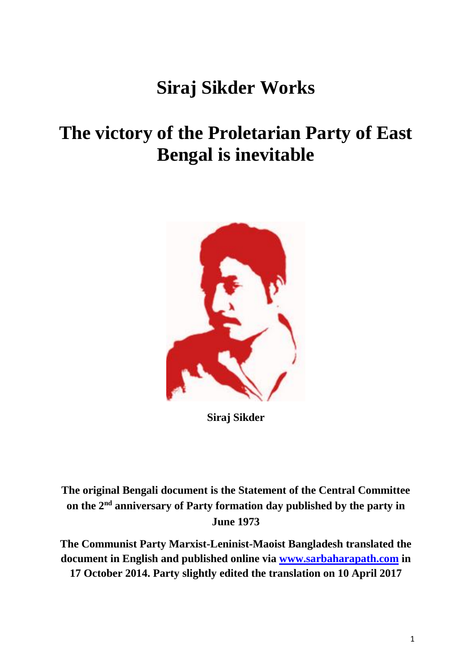## **Siraj Sikder Works**

## **The victory of the Proletarian Party of East Bengal is inevitable**



**Siraj Sikder**

**The original Bengali document is the Statement of the Central Committee on the 2nd anniversary of Party formation day published by the party in June 1973**

**The Communist Party Marxist-Leninist-Maoist Bangladesh translated the document in English and published online via [www.sarbaharapath.com](http://www.sarbaharapath.com/) in 17 October 2014. Party slightly edited the translation on 10 April 2017**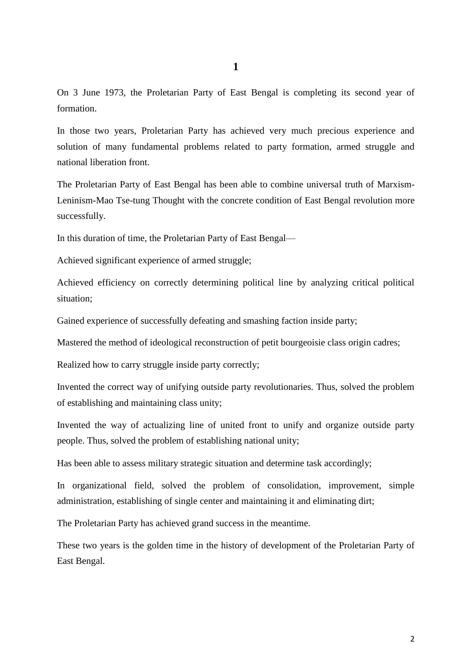On 3 June 1973, the Proletarian Party of East Bengal is completing its second year of formation.

In those two years, Proletarian Party has achieved very much precious experience and solution of many fundamental problems related to party formation, armed struggle and national liberation front.

The Proletarian Party of East Bengal has been able to combine universal truth of Marxism-Leninism-Mao Tse-tung Thought with the concrete condition of East Bengal revolution more successfully.

In this duration of time, the Proletarian Party of East Bengal—

Achieved significant experience of armed struggle;

Achieved efficiency on correctly determining political line by analyzing critical political situation;

Gained experience of successfully defeating and smashing faction inside party;

Mastered the method of ideological reconstruction of petit bourgeoisie class origin cadres;

Realized how to carry struggle inside party correctly;

Invented the correct way of unifying outside party revolutionaries. Thus, solved the problem of establishing and maintaining class unity;

Invented the way of actualizing line of united front to unify and organize outside party people. Thus, solved the problem of establishing national unity;

Has been able to assess military strategic situation and determine task accordingly;

In organizational field, solved the problem of consolidation, improvement, simple administration, establishing of single center and maintaining it and eliminating dirt;

The Proletarian Party has achieved grand success in the meantime.

These two years is the golden time in the history of development of the Proletarian Party of East Bengal.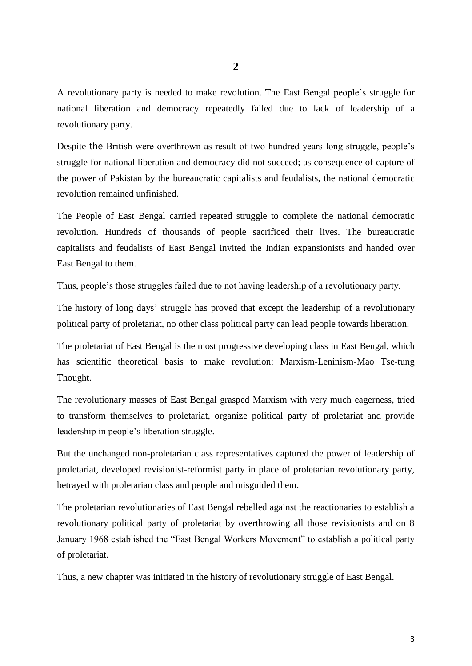A revolutionary party is needed to make revolution. The East Bengal people's struggle for national liberation and democracy repeatedly failed due to lack of leadership of a revolutionary party.

Despite the British were overthrown as result of two hundred years long struggle, people's struggle for national liberation and democracy did not succeed; as consequence of capture of the power of Pakistan by the bureaucratic capitalists and feudalists, the national democratic revolution remained unfinished.

The People of East Bengal carried repeated struggle to complete the national democratic revolution. Hundreds of thousands of people sacrificed their lives. The bureaucratic capitalists and feudalists of East Bengal invited the Indian expansionists and handed over East Bengal to them.

Thus, people's those struggles failed due to not having leadership of a revolutionary party.

The history of long days' struggle has proved that except the leadership of a revolutionary political party of proletariat, no other class political party can lead people towards liberation.

The proletariat of East Bengal is the most progressive developing class in East Bengal, which has scientific theoretical basis to make revolution: Marxism-Leninism-Mao Tse-tung Thought.

The revolutionary masses of East Bengal grasped Marxism with very much eagerness, tried to transform themselves to proletariat, organize political party of proletariat and provide leadership in people's liberation struggle.

But the unchanged non-proletarian class representatives captured the power of leadership of proletariat, developed revisionist-reformist party in place of proletarian revolutionary party, betrayed with proletarian class and people and misguided them.

The proletarian revolutionaries of East Bengal rebelled against the reactionaries to establish a revolutionary political party of proletariat by overthrowing all those revisionists and on 8 January 1968 established the "East Bengal Workers Movement" to establish a political party of proletariat.

Thus, a new chapter was initiated in the history of revolutionary struggle of East Bengal.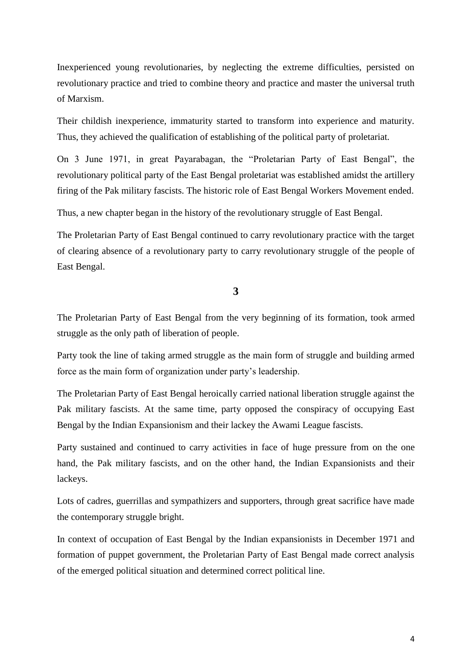Inexperienced young revolutionaries, by neglecting the extreme difficulties, persisted on revolutionary practice and tried to combine theory and practice and master the universal truth of Marxism.

Their childish inexperience, immaturity started to transform into experience and maturity. Thus, they achieved the qualification of establishing of the political party of proletariat.

On 3 June 1971, in great Payarabagan, the "Proletarian Party of East Bengal", the revolutionary political party of the East Bengal proletariat was established amidst the artillery firing of the Pak military fascists. The historic role of East Bengal Workers Movement ended.

Thus, a new chapter began in the history of the revolutionary struggle of East Bengal.

The Proletarian Party of East Bengal continued to carry revolutionary practice with the target of clearing absence of a revolutionary party to carry revolutionary struggle of the people of East Bengal.

**3**

The Proletarian Party of East Bengal from the very beginning of its formation, took armed struggle as the only path of liberation of people.

Party took the line of taking armed struggle as the main form of struggle and building armed force as the main form of organization under party's leadership.

The Proletarian Party of East Bengal heroically carried national liberation struggle against the Pak military fascists. At the same time, party opposed the conspiracy of occupying East Bengal by the Indian Expansionism and their lackey the Awami League fascists.

Party sustained and continued to carry activities in face of huge pressure from on the one hand, the Pak military fascists, and on the other hand, the Indian Expansionists and their lackeys.

Lots of cadres, guerrillas and sympathizers and supporters, through great sacrifice have made the contemporary struggle bright.

In context of occupation of East Bengal by the Indian expansionists in December 1971 and formation of puppet government, the Proletarian Party of East Bengal made correct analysis of the emerged political situation and determined correct political line.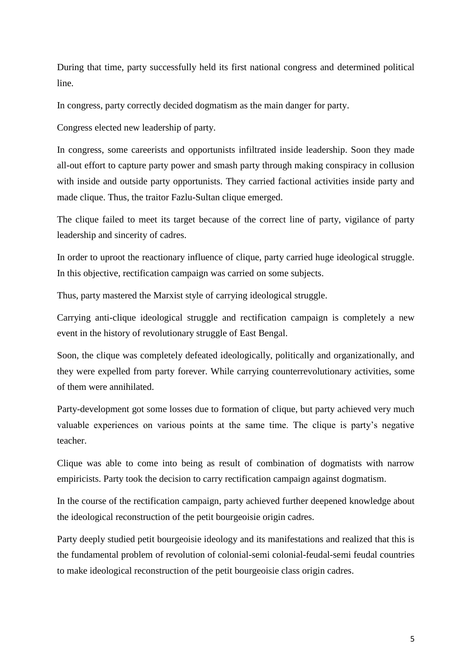During that time, party successfully held its first national congress and determined political line.

In congress, party correctly decided dogmatism as the main danger for party.

Congress elected new leadership of party.

In congress, some careerists and opportunists infiltrated inside leadership. Soon they made all-out effort to capture party power and smash party through making conspiracy in collusion with inside and outside party opportunists. They carried factional activities inside party and made clique. Thus, the traitor Fazlu-Sultan clique emerged.

The clique failed to meet its target because of the correct line of party, vigilance of party leadership and sincerity of cadres.

In order to uproot the reactionary influence of clique, party carried huge ideological struggle. In this objective, rectification campaign was carried on some subjects.

Thus, party mastered the Marxist style of carrying ideological struggle.

Carrying anti-clique ideological struggle and rectification campaign is completely a new event in the history of revolutionary struggle of East Bengal.

Soon, the clique was completely defeated ideologically, politically and organizationally, and they were expelled from party forever. While carrying counterrevolutionary activities, some of them were annihilated.

Party-development got some losses due to formation of clique, but party achieved very much valuable experiences on various points at the same time. The clique is party's negative teacher.

Clique was able to come into being as result of combination of dogmatists with narrow empiricists. Party took the decision to carry rectification campaign against dogmatism.

In the course of the rectification campaign, party achieved further deepened knowledge about the ideological reconstruction of the petit bourgeoisie origin cadres.

Party deeply studied petit bourgeoisie ideology and its manifestations and realized that this is the fundamental problem of revolution of colonial-semi colonial-feudal-semi feudal countries to make ideological reconstruction of the petit bourgeoisie class origin cadres.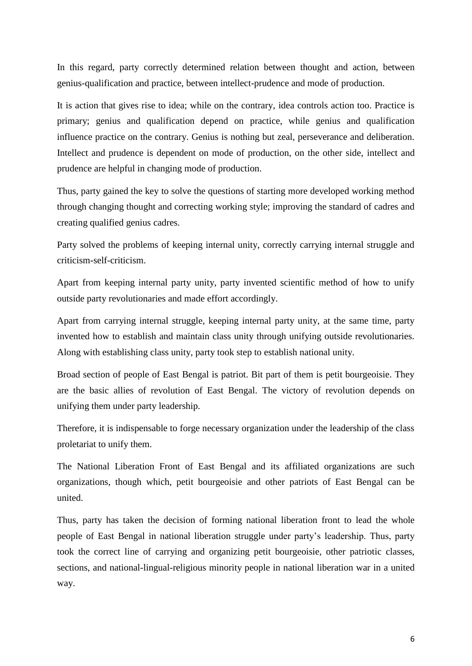In this regard, party correctly determined relation between thought and action, between genius-qualification and practice, between intellect-prudence and mode of production.

It is action that gives rise to idea; while on the contrary, idea controls action too. Practice is primary; genius and qualification depend on practice, while genius and qualification influence practice on the contrary. Genius is nothing but zeal, perseverance and deliberation. Intellect and prudence is dependent on mode of production, on the other side, intellect and prudence are helpful in changing mode of production.

Thus, party gained the key to solve the questions of starting more developed working method through changing thought and correcting working style; improving the standard of cadres and creating qualified genius cadres.

Party solved the problems of keeping internal unity, correctly carrying internal struggle and criticism-self-criticism.

Apart from keeping internal party unity, party invented scientific method of how to unify outside party revolutionaries and made effort accordingly.

Apart from carrying internal struggle, keeping internal party unity, at the same time, party invented how to establish and maintain class unity through unifying outside revolutionaries. Along with establishing class unity, party took step to establish national unity.

Broad section of people of East Bengal is patriot. Bit part of them is petit bourgeoisie. They are the basic allies of revolution of East Bengal. The victory of revolution depends on unifying them under party leadership.

Therefore, it is indispensable to forge necessary organization under the leadership of the class proletariat to unify them.

The National Liberation Front of East Bengal and its affiliated organizations are such organizations, though which, petit bourgeoisie and other patriots of East Bengal can be united.

Thus, party has taken the decision of forming national liberation front to lead the whole people of East Bengal in national liberation struggle under party's leadership. Thus, party took the correct line of carrying and organizing petit bourgeoisie, other patriotic classes, sections, and national-lingual-religious minority people in national liberation war in a united way.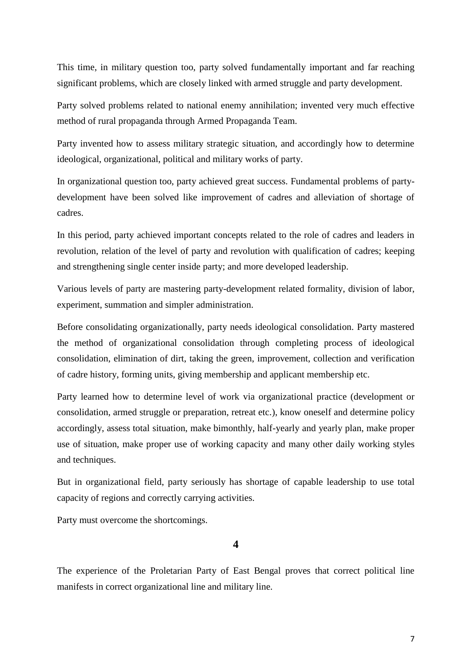This time, in military question too, party solved fundamentally important and far reaching significant problems, which are closely linked with armed struggle and party development.

Party solved problems related to national enemy annihilation; invented very much effective method of rural propaganda through Armed Propaganda Team.

Party invented how to assess military strategic situation, and accordingly how to determine ideological, organizational, political and military works of party.

In organizational question too, party achieved great success. Fundamental problems of partydevelopment have been solved like improvement of cadres and alleviation of shortage of cadres.

In this period, party achieved important concepts related to the role of cadres and leaders in revolution, relation of the level of party and revolution with qualification of cadres; keeping and strengthening single center inside party; and more developed leadership.

Various levels of party are mastering party-development related formality, division of labor, experiment, summation and simpler administration.

Before consolidating organizationally, party needs ideological consolidation. Party mastered the method of organizational consolidation through completing process of ideological consolidation, elimination of dirt, taking the green, improvement, collection and verification of cadre history, forming units, giving membership and applicant membership etc.

Party learned how to determine level of work via organizational practice (development or consolidation, armed struggle or preparation, retreat etc.), know oneself and determine policy accordingly, assess total situation, make bimonthly, half-yearly and yearly plan, make proper use of situation, make proper use of working capacity and many other daily working styles and techniques.

But in organizational field, party seriously has shortage of capable leadership to use total capacity of regions and correctly carrying activities.

Party must overcome the shortcomings.

**4**

The experience of the Proletarian Party of East Bengal proves that correct political line manifests in correct organizational line and military line.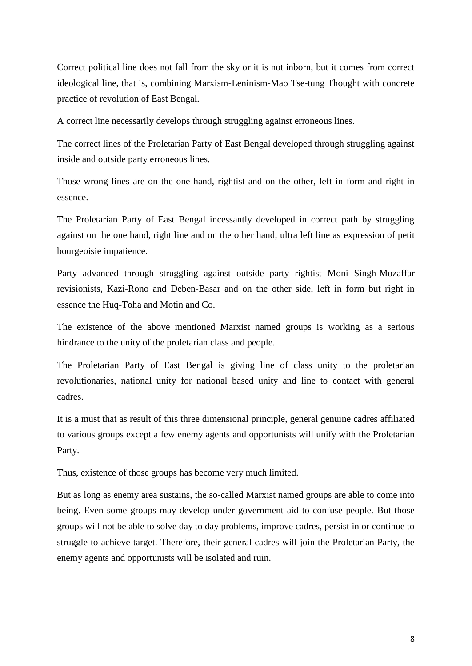Correct political line does not fall from the sky or it is not inborn, but it comes from correct ideological line, that is, combining Marxism-Leninism-Mao Tse-tung Thought with concrete practice of revolution of East Bengal.

A correct line necessarily develops through struggling against erroneous lines.

The correct lines of the Proletarian Party of East Bengal developed through struggling against inside and outside party erroneous lines.

Those wrong lines are on the one hand, rightist and on the other, left in form and right in essence.

The Proletarian Party of East Bengal incessantly developed in correct path by struggling against on the one hand, right line and on the other hand, ultra left line as expression of petit bourgeoisie impatience.

Party advanced through struggling against outside party rightist Moni Singh-Mozaffar revisionists, Kazi-Rono and Deben-Basar and on the other side, left in form but right in essence the Huq-Toha and Motin and Co.

The existence of the above mentioned Marxist named groups is working as a serious hindrance to the unity of the proletarian class and people.

The Proletarian Party of East Bengal is giving line of class unity to the proletarian revolutionaries, national unity for national based unity and line to contact with general cadres.

It is a must that as result of this three dimensional principle, general genuine cadres affiliated to various groups except a few enemy agents and opportunists will unify with the Proletarian Party.

Thus, existence of those groups has become very much limited.

But as long as enemy area sustains, the so-called Marxist named groups are able to come into being. Even some groups may develop under government aid to confuse people. But those groups will not be able to solve day to day problems, improve cadres, persist in or continue to struggle to achieve target. Therefore, their general cadres will join the Proletarian Party, the enemy agents and opportunists will be isolated and ruin.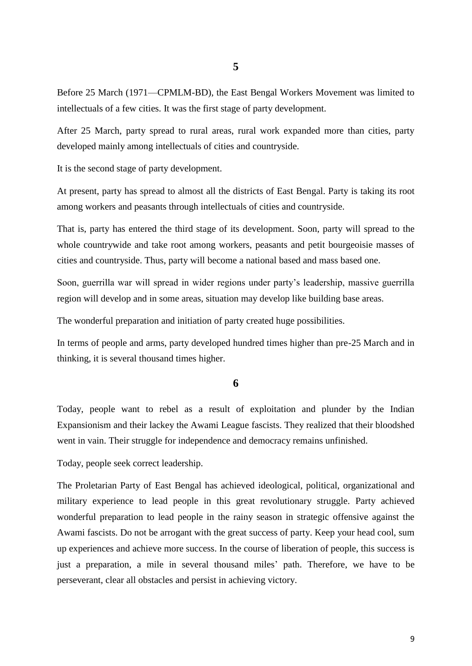Before 25 March (1971—CPMLM-BD), the East Bengal Workers Movement was limited to intellectuals of a few cities. It was the first stage of party development.

After 25 March, party spread to rural areas, rural work expanded more than cities, party developed mainly among intellectuals of cities and countryside.

It is the second stage of party development.

At present, party has spread to almost all the districts of East Bengal. Party is taking its root among workers and peasants through intellectuals of cities and countryside.

That is, party has entered the third stage of its development. Soon, party will spread to the whole countrywide and take root among workers, peasants and petit bourgeoisie masses of cities and countryside. Thus, party will become a national based and mass based one.

Soon, guerrilla war will spread in wider regions under party's leadership, massive guerrilla region will develop and in some areas, situation may develop like building base areas.

The wonderful preparation and initiation of party created huge possibilities.

In terms of people and arms, party developed hundred times higher than pre-25 March and in thinking, it is several thousand times higher.

## **6**

Today, people want to rebel as a result of exploitation and plunder by the Indian Expansionism and their lackey the Awami League fascists. They realized that their bloodshed went in vain. Their struggle for independence and democracy remains unfinished.

Today, people seek correct leadership.

The Proletarian Party of East Bengal has achieved ideological, political, organizational and military experience to lead people in this great revolutionary struggle. Party achieved wonderful preparation to lead people in the rainy season in strategic offensive against the Awami fascists. Do not be arrogant with the great success of party. Keep your head cool, sum up experiences and achieve more success. In the course of liberation of people, this success is just a preparation, a mile in several thousand miles' path. Therefore, we have to be perseverant, clear all obstacles and persist in achieving victory.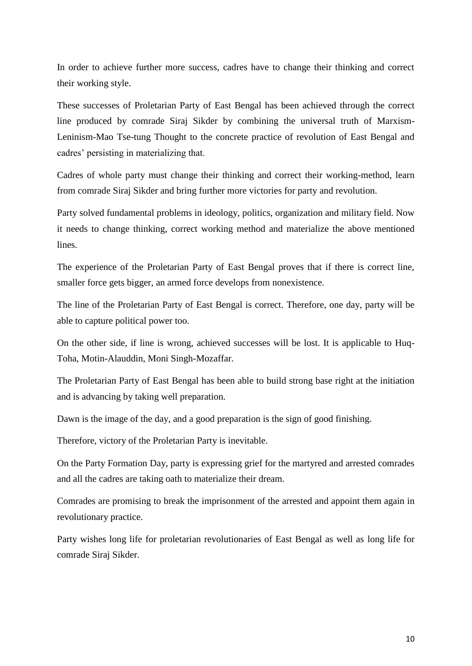In order to achieve further more success, cadres have to change their thinking and correct their working style.

These successes of Proletarian Party of East Bengal has been achieved through the correct line produced by comrade Siraj Sikder by combining the universal truth of Marxism-Leninism-Mao Tse-tung Thought to the concrete practice of revolution of East Bengal and cadres' persisting in materializing that.

Cadres of whole party must change their thinking and correct their working-method, learn from comrade Siraj Sikder and bring further more victories for party and revolution.

Party solved fundamental problems in ideology, politics, organization and military field. Now it needs to change thinking, correct working method and materialize the above mentioned lines.

The experience of the Proletarian Party of East Bengal proves that if there is correct line, smaller force gets bigger, an armed force develops from nonexistence.

The line of the Proletarian Party of East Bengal is correct. Therefore, one day, party will be able to capture political power too.

On the other side, if line is wrong, achieved successes will be lost. It is applicable to Huq-Toha, Motin-Alauddin, Moni Singh-Mozaffar.

The Proletarian Party of East Bengal has been able to build strong base right at the initiation and is advancing by taking well preparation.

Dawn is the image of the day, and a good preparation is the sign of good finishing.

Therefore, victory of the Proletarian Party is inevitable.

On the Party Formation Day, party is expressing grief for the martyred and arrested comrades and all the cadres are taking oath to materialize their dream.

Comrades are promising to break the imprisonment of the arrested and appoint them again in revolutionary practice.

Party wishes long life for proletarian revolutionaries of East Bengal as well as long life for comrade Siraj Sikder.